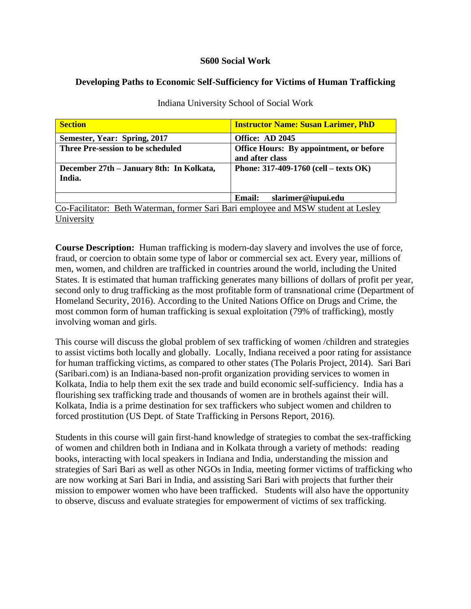### **S600 Social Work**

# **Developing Paths to Economic Self-Sufficiency for Victims of Human Trafficking**

| <b>Section</b>                                                                     | <b>Instructor Name: Susan Larimer, PhD</b>     |  |
|------------------------------------------------------------------------------------|------------------------------------------------|--|
| Semester, Year: Spring, 2017                                                       | Office: AD 2045                                |  |
| <b>Three Pre-session to be scheduled</b>                                           | <b>Office Hours: By appointment, or before</b> |  |
|                                                                                    | and after class                                |  |
| December 27th - January 8th: In Kolkata,                                           | Phone: $317-409-1760$ (cell – texts OK)        |  |
| India.                                                                             |                                                |  |
|                                                                                    |                                                |  |
|                                                                                    | slarimer@iupui.edu<br>Email:                   |  |
| Co-Facilitator: Beth Waterman, former Sari Bari employee and MSW student at Lesley |                                                |  |
| University                                                                         |                                                |  |

Indiana University School of Social Work

**Course Description:** Human trafficking is modern-day slavery and involves the use of force, fraud, or coercion to obtain some type of labor or commercial sex act. Every year, millions of men, women, and children are trafficked in countries around the world, including the United States. It is estimated that human trafficking generates many billions of dollars of profit per year, second only to drug trafficking as the most profitable form of transnational crime (Department of Homeland Security, 2016). According to the United Nations Office on Drugs and Crime, the most common form of human trafficking is sexual exploitation (79% of trafficking), mostly involving woman and girls.

This course will discuss the global problem of sex trafficking of women /children and strategies to assist victims both locally and globally. Locally, Indiana received a poor rating for assistance for human trafficking victims, as compared to other states (The Polaris Project, 2014). Sari Bari (Saribari.com) is an Indiana-based non-profit organization providing services to women in Kolkata, India to help them exit the sex trade and build economic self-sufficiency. India has a flourishing sex trafficking trade and thousands of women are in brothels against their will. Kolkata, India is a prime destination for sex traffickers who subject women and children to forced prostitution (US Dept. of State Trafficking in Persons Report, 2016).

Students in this course will gain first-hand knowledge of strategies to combat the sex-trafficking of women and children both in Indiana and in Kolkata through a variety of methods: reading books, interacting with local speakers in Indiana and India, understanding the mission and strategies of Sari Bari as well as other NGOs in India, meeting former victims of trafficking who are now working at Sari Bari in India, and assisting Sari Bari with projects that further their mission to empower women who have been trafficked. Students will also have the opportunity to observe, discuss and evaluate strategies for empowerment of victims of sex trafficking.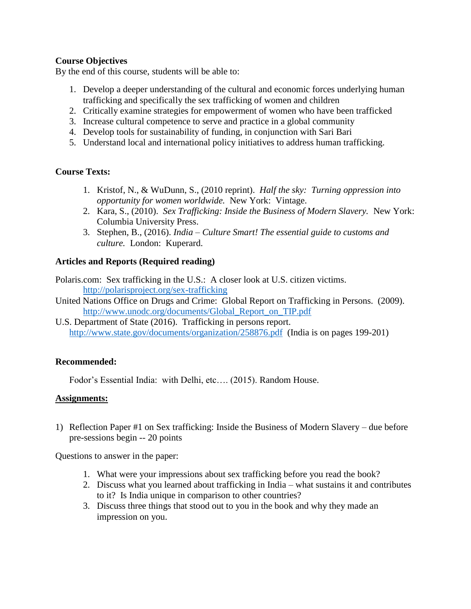# **Course Objectives**

By the end of this course, students will be able to:

- 1. Develop a deeper understanding of the cultural and economic forces underlying human trafficking and specifically the sex trafficking of women and children
- 2. Critically examine strategies for empowerment of women who have been trafficked
- 3. Increase cultural competence to serve and practice in a global community
- 4. Develop tools for sustainability of funding, in conjunction with Sari Bari
- 5. Understand local and international policy initiatives to address human trafficking.

# **Course Texts:**

- 1. Kristof, N., & WuDunn, S., (2010 reprint). *Half the sky: Turning oppression into opportunity for women worldwide.* New York: Vintage.
- 2. Kara, S., (2010). *Sex Trafficking: Inside the Business of Modern Slavery.* New York: Columbia University Press.
- 3. Stephen, B., (2016). *India – Culture Smart! The essential guide to customs and culture.* London: Kuperard.

# **Articles and Reports (Required reading)**

Polaris.com: Sex trafficking in the U.S.: A closer look at U.S. citizen victims. <http://polarisproject.org/sex-trafficking>

- United Nations Office on Drugs and Crime: Global Report on Trafficking in Persons. (2009). [http://www.unodc.org/documents/Global\\_Report\\_on\\_TIP.pdf](http://www.unodc.org/documents/Global_Report_on_TIP.pdf)
- U.S. Department of State (2016). Trafficking in persons report. <http://www.state.gov/documents/organization/258876.pdf>(India is on pages 199-201)

# **Recommended:**

Fodor's Essential India: with Delhi, etc…. (2015). Random House.

# **Assignments:**

1) Reflection Paper #1 on Sex trafficking: Inside the Business of Modern Slavery – due before pre-sessions begin -- 20 points

Questions to answer in the paper:

- 1. What were your impressions about sex trafficking before you read the book?
- 2. Discuss what you learned about trafficking in India what sustains it and contributes to it? Is India unique in comparison to other countries?
- 3. Discuss three things that stood out to you in the book and why they made an impression on you.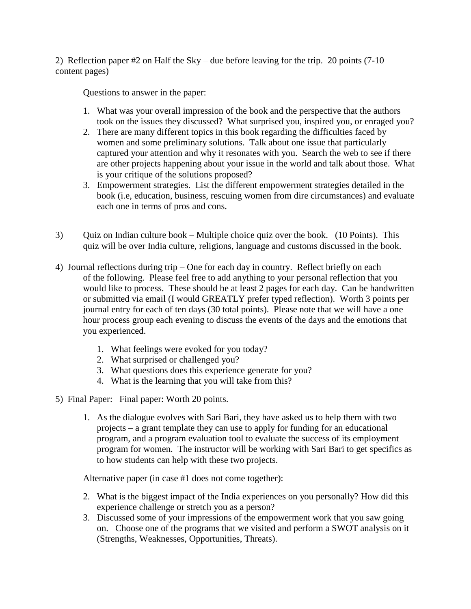2) Reflection paper  $#2$  on Half the Sky – due before leaving for the trip. 20 points (7-10) content pages)

Questions to answer in the paper:

- 1. What was your overall impression of the book and the perspective that the authors took on the issues they discussed? What surprised you, inspired you, or enraged you?
- 2. There are many different topics in this book regarding the difficulties faced by women and some preliminary solutions. Talk about one issue that particularly captured your attention and why it resonates with you. Search the web to see if there are other projects happening about your issue in the world and talk about those. What is your critique of the solutions proposed?
- 3. Empowerment strategies. List the different empowerment strategies detailed in the book (i.e, education, business, rescuing women from dire circumstances) and evaluate each one in terms of pros and cons.
- 3) Quiz on Indian culture book Multiple choice quiz over the book. (10 Points). This quiz will be over India culture, religions, language and customs discussed in the book.
- 4) Journal reflections during trip One for each day in country. Reflect briefly on each of the following. Please feel free to add anything to your personal reflection that you would like to process. These should be at least 2 pages for each day. Can be handwritten or submitted via email (I would GREATLY prefer typed reflection). Worth 3 points per journal entry for each of ten days (30 total points). Please note that we will have a one hour process group each evening to discuss the events of the days and the emotions that you experienced.
	- 1. What feelings were evoked for you today?
	- 2. What surprised or challenged you?
	- 3. What questions does this experience generate for you?
	- 4. What is the learning that you will take from this?
- 5) Final Paper: Final paper: Worth 20 points.
	- 1. As the dialogue evolves with Sari Bari, they have asked us to help them with two projects – a grant template they can use to apply for funding for an educational program, and a program evaluation tool to evaluate the success of its employment program for women. The instructor will be working with Sari Bari to get specifics as to how students can help with these two projects.

Alternative paper (in case #1 does not come together):

- 2. What is the biggest impact of the India experiences on you personally? How did this experience challenge or stretch you as a person?
- 3. Discussed some of your impressions of the empowerment work that you saw going on. Choose one of the programs that we visited and perform a SWOT analysis on it (Strengths, Weaknesses, Opportunities, Threats).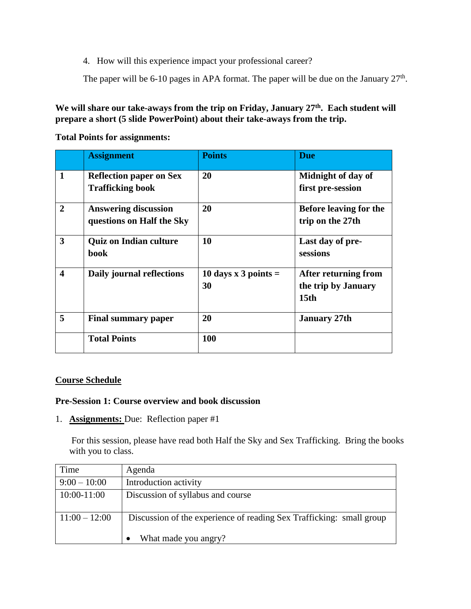4. How will this experience impact your professional career?

The paper will be 6-10 pages in APA format. The paper will be due on the January  $27<sup>th</sup>$ .

**We will share our take-aways from the trip on Friday, January 27th. Each student will prepare a short (5 slide PowerPoint) about their take-aways from the trip.** 

**Total Points for assignments:**

|                         | <b>Assignment</b>                                         | <b>Points</b>                | <b>Due</b>                                                      |
|-------------------------|-----------------------------------------------------------|------------------------------|-----------------------------------------------------------------|
| $\mathbf{1}$            | <b>Reflection paper on Sex</b><br><b>Trafficking book</b> | 20                           | Midnight of day of<br>first pre-session                         |
| $\mathbf{2}$            | <b>Answering discussion</b><br>questions on Half the Sky  | 20                           | Before leaving for the<br>trip on the 27th                      |
| $\overline{\mathbf{3}}$ | <b>Quiz on Indian culture</b><br>book                     | 10                           | Last day of pre-<br>sessions                                    |
| $\overline{\mathbf{4}}$ | Daily journal reflections                                 | 10 days x 3 points $=$<br>30 | After returning from<br>the trip by January<br>15 <sub>th</sub> |
| 5                       | <b>Final summary paper</b>                                | 20                           | <b>January 27th</b>                                             |
|                         | <b>Total Points</b>                                       | 100                          |                                                                 |

#### **Course Schedule**

#### **Pre-Session 1: Course overview and book discussion**

1. **Assignments:** Due: Reflection paper #1

For this session, please have read both Half the Sky and Sex Trafficking. Bring the books with you to class.

| Time            | Agenda                                                               |
|-----------------|----------------------------------------------------------------------|
| $9:00 - 10:00$  | Introduction activity                                                |
| 10:00-11:00     | Discussion of syllabus and course                                    |
|                 |                                                                      |
| $11:00 - 12:00$ | Discussion of the experience of reading Sex Trafficking: small group |
|                 | What made you angry?                                                 |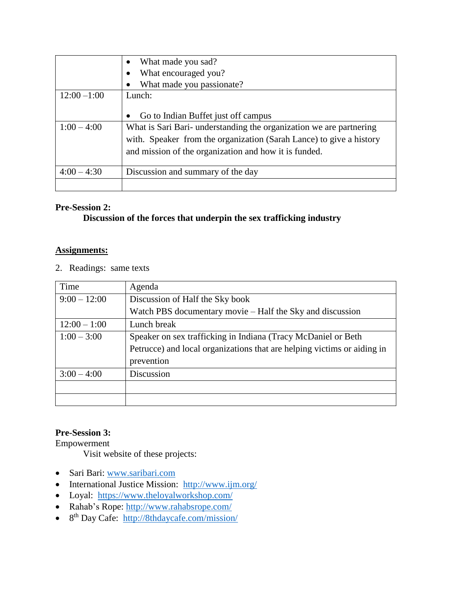|                | What made you sad?                                                  |
|----------------|---------------------------------------------------------------------|
|                | What encouraged you?                                                |
|                | What made you passionate?                                           |
| $12:00 - 1:00$ | Lunch:                                                              |
|                |                                                                     |
|                | Go to Indian Buffet just off campus                                 |
| $1:00 - 4:00$  | What is Sari Bari- understanding the organization we are partnering |
|                | with. Speaker from the organization (Sarah Lance) to give a history |
|                | and mission of the organization and how it is funded.               |
|                |                                                                     |
| $4:00 - 4:30$  | Discussion and summary of the day                                   |
|                |                                                                     |

#### **Pre-Session 2:**

# **Discussion of the forces that underpin the sex trafficking industry**

#### **Assignments:**

2. Readings: same texts

| Time           | Agenda                                                                  |
|----------------|-------------------------------------------------------------------------|
| $9:00 - 12:00$ | Discussion of Half the Sky book                                         |
|                | Watch PBS documentary movie – Half the Sky and discussion               |
| $12:00 - 1:00$ | Lunch break                                                             |
| $1:00 - 3:00$  | Speaker on sex trafficking in Indiana (Tracy McDaniel or Beth           |
|                | Petrucce) and local organizations that are helping victims or aiding in |
|                | prevention                                                              |
| $3:00 - 4:00$  | Discussion                                                              |
|                |                                                                         |
|                |                                                                         |

# **Pre-Session 3:**

Empowerment

Visit website of these projects:

- Sari Bari: [www.saribari.com](http://www.saribari.com/)
- International Justice Mission:  $\frac{http://www.ijm.org/}{http://www.ijm.org/}$  $\frac{http://www.ijm.org/}{http://www.ijm.org/}$  $\frac{http://www.ijm.org/}{http://www.ijm.org/}$
- Loyal: <https://www.theloyalworkshop.com/>
- Rahab's Rope:<http://www.rahabsrope.com/>
- 8<sup>th</sup> Day Cafe: <http://8thdaycafe.com/mission/>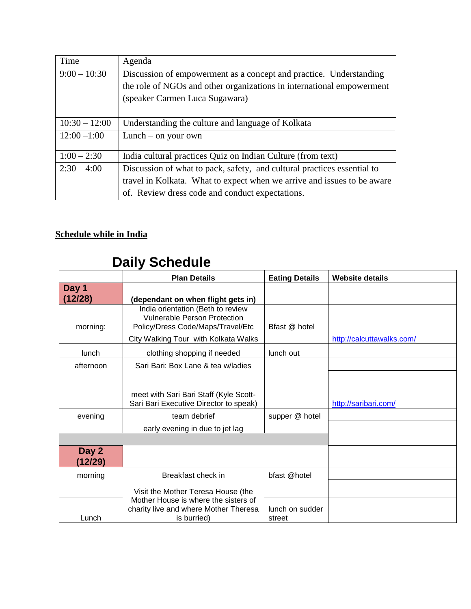| Time            | Agenda                                                                  |  |  |
|-----------------|-------------------------------------------------------------------------|--|--|
| $9:00-10:30$    | Discussion of empowerment as a concept and practice. Understanding      |  |  |
|                 | the role of NGOs and other organizations in international empowerment   |  |  |
|                 | (speaker Carmen Luca Sugawara)                                          |  |  |
|                 |                                                                         |  |  |
| $10:30 - 12:00$ | Understanding the culture and language of Kolkata                       |  |  |
| $12:00 - 1:00$  | Lunch $-$ on your own                                                   |  |  |
|                 |                                                                         |  |  |
| $1:00 - 2:30$   | India cultural practices Quiz on Indian Culture (from text)             |  |  |
| $2:30-4:00$     | Discussion of what to pack, safety, and cultural practices essential to |  |  |
|                 | travel in Kolkata. What to expect when we arrive and issues to be aware |  |  |
|                 | of. Review dress code and conduct expectations.                         |  |  |

# **Schedule while in India**

# **Daily Schedule**

Lunch is burried)

|                  | <b>Plan Details</b>                                                                                           | <b>Eating Details</b> | <b>Website details</b>    |
|------------------|---------------------------------------------------------------------------------------------------------------|-----------------------|---------------------------|
| Day 1<br>(12/28) | (dependant on when flight gets in)                                                                            |                       |                           |
| morning:         | India orientation (Beth to review<br><b>Vulnerable Person Protection</b><br>Policy/Dress Code/Maps/Travel/Etc | Bfast @ hotel         |                           |
|                  | City Walking Tour with Kolkata Walks                                                                          |                       | http://calcuttawalks.com/ |
| <b>lunch</b>     | clothing shopping if needed                                                                                   | lunch out             |                           |
| afternoon        | Sari Bari: Box Lane & tea w/ladies                                                                            |                       |                           |
|                  | meet with Sari Bari Staff (Kyle Scott-<br>Sari Bari Executive Director to speak)                              |                       | http://saribari.com/      |
| evening          | team debrief                                                                                                  | supper @ hotel        |                           |
|                  | early evening in due to jet lag                                                                               |                       |                           |
|                  |                                                                                                               |                       |                           |
| Day 2<br>(12/29) |                                                                                                               |                       |                           |
| morning          | Breakfast check in                                                                                            | bfast @hotel          |                           |
|                  | Visit the Mother Teresa House (the                                                                            |                       |                           |
|                  | Mother House is where the sisters of<br>charity live and where Mother Theresa                                 | lunch on sudder       |                           |

street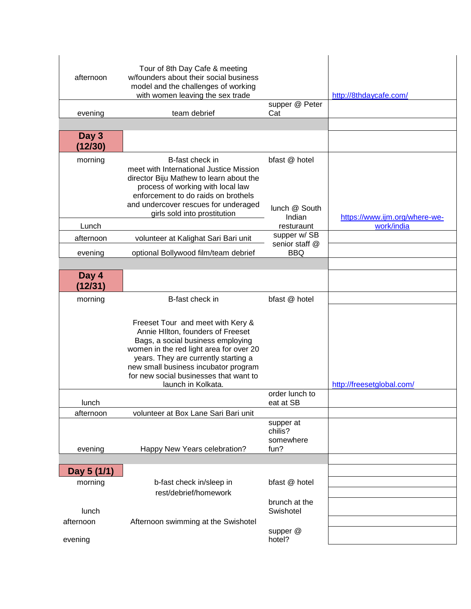| afternoon        | Tour of 8th Day Cafe & meeting<br>w/founders about their social business<br>model and the challenges of working<br>with women leaving the sex trade                                                                                                                                                    |                                           | http://8thdaycafe.com/        |
|------------------|--------------------------------------------------------------------------------------------------------------------------------------------------------------------------------------------------------------------------------------------------------------------------------------------------------|-------------------------------------------|-------------------------------|
| evening          | team debrief                                                                                                                                                                                                                                                                                           | supper @ Peter<br>Cat                     |                               |
|                  |                                                                                                                                                                                                                                                                                                        |                                           |                               |
| Day 3<br>(12/30) |                                                                                                                                                                                                                                                                                                        |                                           |                               |
| morning          | B-fast check in<br>meet with International Justice Mission<br>director Biju Mathew to learn about the<br>process of working with local law<br>enforcement to do raids on brothels<br>and undercover rescues for underaged<br>girls sold into prostitution                                              | bfast @ hotel<br>lunch @ South<br>Indian  | https://www.ijm.org/where-we- |
| Lunch            |                                                                                                                                                                                                                                                                                                        | resturaunt                                | work/india                    |
| afternoon        | volunteer at Kalighat Sari Bari unit                                                                                                                                                                                                                                                                   | supper w/SB<br>senior staff @             |                               |
| evening          | optional Bollywood film/team debrief                                                                                                                                                                                                                                                                   | <b>BBQ</b>                                |                               |
|                  |                                                                                                                                                                                                                                                                                                        |                                           |                               |
| Day 4<br>(12/31) |                                                                                                                                                                                                                                                                                                        |                                           |                               |
| morning          | B-fast check in                                                                                                                                                                                                                                                                                        | bfast @ hotel                             |                               |
|                  | Freeset Tour and meet with Kery &<br>Annie Hilton, founders of Freeset<br>Bags, a social business employing<br>women in the red light area for over 20<br>years. They are currently starting a<br>new small business incubator program<br>for new social businesses that want to<br>launch in Kolkata. |                                           | http://freesetglobal.com/     |
| lunch            |                                                                                                                                                                                                                                                                                                        | order lunch to<br>eat at SB               |                               |
| afternoon        | volunteer at Box Lane Sari Bari unit                                                                                                                                                                                                                                                                   |                                           |                               |
| evening          | Happy New Years celebration?                                                                                                                                                                                                                                                                           | supper at<br>chilis?<br>somewhere<br>fun? |                               |
|                  |                                                                                                                                                                                                                                                                                                        |                                           |                               |
| Day 5 (1/1)      |                                                                                                                                                                                                                                                                                                        |                                           |                               |
| morning          | b-fast check in/sleep in                                                                                                                                                                                                                                                                               | bfast @ hotel                             |                               |
|                  | rest/debrief/homework                                                                                                                                                                                                                                                                                  | brunch at the                             |                               |
| lunch            |                                                                                                                                                                                                                                                                                                        | Swishotel                                 |                               |
| afternoon        | Afternoon swimming at the Swishotel                                                                                                                                                                                                                                                                    | supper @                                  |                               |
| evening          |                                                                                                                                                                                                                                                                                                        | hotel?                                    |                               |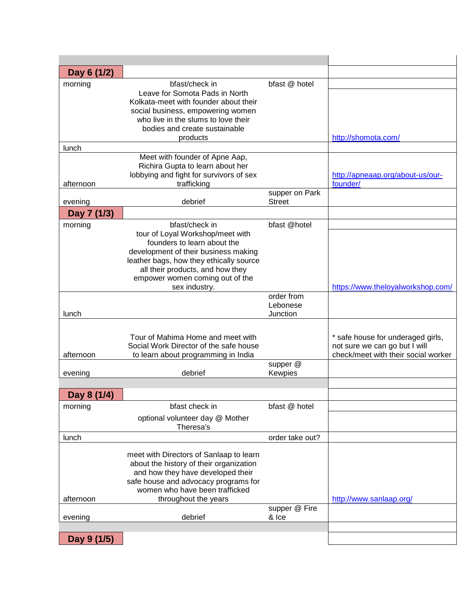| Day 6 (1/2) |                                                                                                                                                                                                   |                                 |                                     |
|-------------|---------------------------------------------------------------------------------------------------------------------------------------------------------------------------------------------------|---------------------------------|-------------------------------------|
| morning     | bfast/check in<br>Leave for Somota Pads in North<br>Kolkata-meet with founder about their                                                                                                         | bfast @ hotel                   |                                     |
|             | social business, empowering women<br>who live in the slums to love their<br>bodies and create sustainable                                                                                         |                                 |                                     |
|             | products                                                                                                                                                                                          |                                 | http://shomota.com/                 |
| lunch       |                                                                                                                                                                                                   |                                 |                                     |
|             | Meet with founder of Apne Aap,<br>Richira Gupta to learn about her<br>lobbying and fight for survivors of sex                                                                                     |                                 | http://apneaap.org/about-us/our-    |
| afternoon   | trafficking                                                                                                                                                                                       |                                 | founder/                            |
| evening     | debrief                                                                                                                                                                                           | supper on Park<br><b>Street</b> |                                     |
| Day 7 (1/3) |                                                                                                                                                                                                   |                                 |                                     |
| morning     | bfast/check in<br>tour of Loyal Workshop/meet with                                                                                                                                                | bfast @hotel                    |                                     |
|             | founders to learn about the<br>development of their business making                                                                                                                               |                                 |                                     |
|             | leather bags, how they ethically source<br>all their products, and how they                                                                                                                       |                                 |                                     |
|             | empower women coming out of the                                                                                                                                                                   |                                 |                                     |
|             | sex industry.                                                                                                                                                                                     | order from                      | https://www.theloyalworkshop.com/   |
| lunch       |                                                                                                                                                                                                   | Lebonese<br>Junction            |                                     |
|             |                                                                                                                                                                                                   |                                 |                                     |
|             | Tour of Mahima Home and meet with                                                                                                                                                                 |                                 | * safe house for underaged girls,   |
|             | Social Work Director of the safe house                                                                                                                                                            |                                 | not sure we can go but I will       |
| afternoon   | to learn about programming in India                                                                                                                                                               | supper @                        | check/meet with their social worker |
| evening     | debrief                                                                                                                                                                                           | Kewpies                         |                                     |
|             |                                                                                                                                                                                                   |                                 |                                     |
| Day 8 (1/4) |                                                                                                                                                                                                   |                                 |                                     |
| morning     | bfast check in                                                                                                                                                                                    | bfast @ hotel                   |                                     |
|             | optional volunteer day @ Mother<br>Theresa's                                                                                                                                                      |                                 |                                     |
| lunch       |                                                                                                                                                                                                   | order take out?                 |                                     |
|             | meet with Directors of Sanlaap to learn<br>about the history of their organization<br>and how they have developed their<br>safe house and advocacy programs for<br>women who have been trafficked |                                 |                                     |
| afternoon   | throughout the years                                                                                                                                                                              |                                 | http://www.sanlaap.org/             |
| evening     | debrief                                                                                                                                                                                           | supper @ Fire<br>& Ice          |                                     |
|             |                                                                                                                                                                                                   |                                 |                                     |
| Day 9 (1/5) |                                                                                                                                                                                                   |                                 |                                     |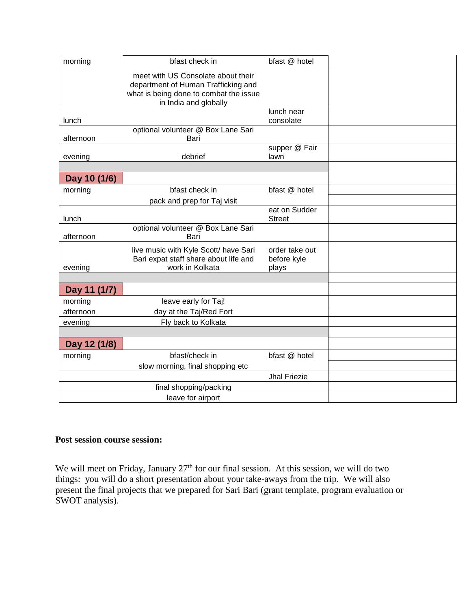| morning      | bfast check in                         | bfast @ hotel       |  |
|--------------|----------------------------------------|---------------------|--|
|              | meet with US Consolate about their     |                     |  |
|              | department of Human Trafficking and    |                     |  |
|              | what is being done to combat the issue |                     |  |
|              | in India and globally                  |                     |  |
|              |                                        | lunch near          |  |
| lunch        |                                        | consolate           |  |
|              | optional volunteer @ Box Lane Sari     |                     |  |
| afternoon    | Bari                                   |                     |  |
|              |                                        | supper @ Fair       |  |
| evening      | debrief                                | lawn                |  |
|              |                                        |                     |  |
| Day 10 (1/6) |                                        |                     |  |
| morning      | bfast check in                         | bfast @ hotel       |  |
|              | pack and prep for Taj visit            |                     |  |
|              |                                        | eat on Sudder       |  |
| lunch        |                                        | <b>Street</b>       |  |
|              | optional volunteer @ Box Lane Sari     |                     |  |
| afternoon    | Bari                                   |                     |  |
|              | live music with Kyle Scott/ have Sari  | order take out      |  |
|              | Bari expat staff share about life and  | before kyle         |  |
| evening      | work in Kolkata                        | plays               |  |
|              |                                        |                     |  |
| Day 11 (1/7) |                                        |                     |  |
| morning      | leave early for Taj!                   |                     |  |
| afternoon    | day at the Taj/Red Fort                |                     |  |
| evening      | Fly back to Kolkata                    |                     |  |
|              |                                        |                     |  |
| Day 12 (1/8) |                                        |                     |  |
| morning      | bfast/check in                         | bfast @ hotel       |  |
|              | slow morning, final shopping etc       |                     |  |
|              |                                        | <b>Jhal Friezie</b> |  |
|              | final shopping/packing                 |                     |  |
|              | leave for airport                      |                     |  |

#### **Post session course session:**

We will meet on Friday, January  $27<sup>th</sup>$  for our final session. At this session, we will do two things: you will do a short presentation about your take-aways from the trip. We will also present the final projects that we prepared for Sari Bari (grant template, program evaluation or SWOT analysis).